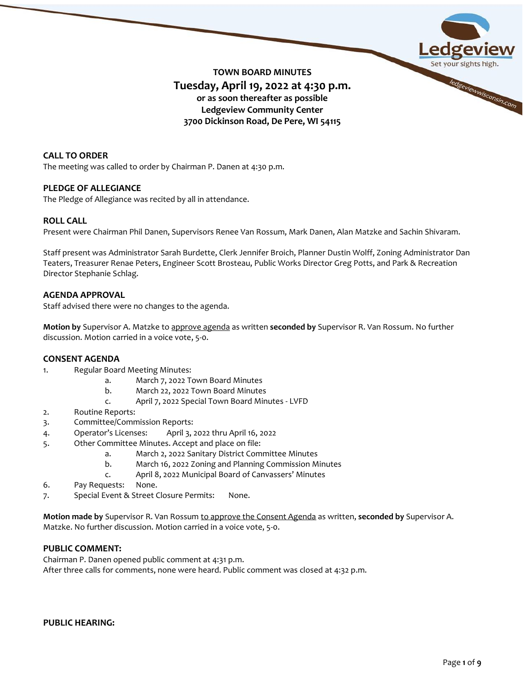

# **CALL TO ORDER**

The meeting was called to order by Chairman P. Danen at 4:30 p.m.

# **PLEDGE OF ALLEGIANCE**

The Pledge of Allegiance was recited by all in attendance.

# **ROLL CALL**

Present were Chairman Phil Danen, Supervisors Renee Van Rossum, Mark Danen, Alan Matzke and Sachin Shivaram.

Staff present was Administrator Sarah Burdette, Clerk Jennifer Broich, Planner Dustin Wolff, Zoning Administrator Dan Teaters, Treasurer Renae Peters, Engineer Scott Brosteau, Public Works Director Greg Potts, and Park & Recreation Director Stephanie Schlag.

# **AGENDA APPROVAL**

Staff advised there were no changes to the agenda.

**Motion by** Supervisor A. Matzke to approve agenda as written **seconded by** Supervisor R. Van Rossum. No further discussion. Motion carried in a voice vote, 5-0.

# **CONSENT AGENDA**

- 1. Regular Board Meeting Minutes:
	- a. March 7, 2022 Town Board Minutes
	- b. March 22, 2022 Town Board Minutes
	- c. April 7, 2022 Special Town Board Minutes LVFD
- 2. Routine Reports:
- 3. Committee/Commission Reports:
- 4. Operator's Licenses: April 3, 2022 thru April 16, 2022
- 5. Other Committee Minutes. Accept and place on file:
	- a. March 2, 2022 Sanitary District Committee Minutes
	- b. March 16, 2022 Zoning and Planning Commission Minutes
	- c. April 8, 2022 Municipal Board of Canvassers' Minutes
- 6. Pay Requests: None.
- 7. Special Event & Street Closure Permits: None.

**Motion made by** Supervisor R. Van Rossum to approve the Consent Agenda as written, **seconded by** Supervisor A. Matzke. No further discussion. Motion carried in a voice vote, 5-0.

# **PUBLIC COMMENT:**

Chairman P. Danen opened public comment at 4:31 p.m. After three calls for comments, none were heard. Public comment was closed at 4:32 p.m.

# **PUBLIC HEARING:**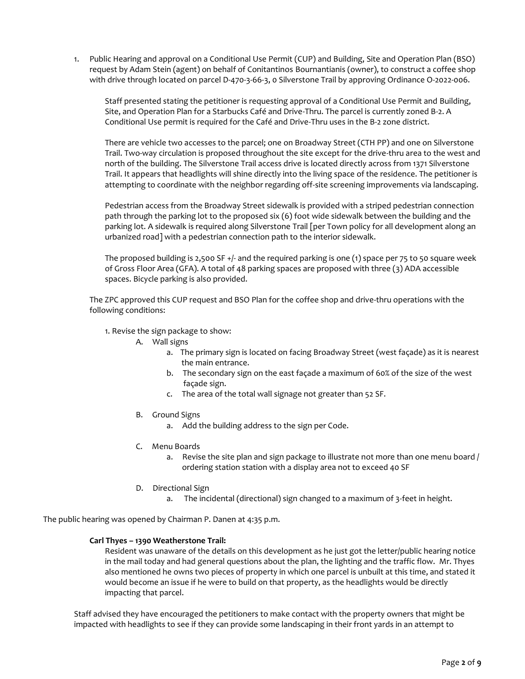1. Public Hearing and approval on a Conditional Use Permit (CUP) and Building, Site and Operation Plan (BSO) request by Adam Stein (agent) on behalf of Conitantinos Bournantianis (owner), to construct a coffee shop with drive through located on parcel D-470-3-66-3, 0 Silverstone Trail by approving Ordinance O-2022-006.

Staff presented stating the petitioner is requesting approval of a Conditional Use Permit and Building, Site, and Operation Plan for a Starbucks Café and Drive-Thru. The parcel is currently zoned B-2. A Conditional Use permit is required for the Café and Drive-Thru uses in the B-2 zone district.

There are vehicle two accesses to the parcel; one on Broadway Street (CTH PP) and one on Silverstone Trail. Two-way circulation is proposed throughout the site except for the drive-thru area to the west and north of the building. The Silverstone Trail access drive is located directly across from 1371 Silverstone Trail. It appears that headlights will shine directly into the living space of the residence. The petitioner is attempting to coordinate with the neighbor regarding off-site screening improvements via landscaping.

Pedestrian access from the Broadway Street sidewalk is provided with a striped pedestrian connection path through the parking lot to the proposed six (6) foot wide sidewalk between the building and the parking lot. A sidewalk is required along Silverstone Trail [per Town policy for all development along an urbanized road] with a pedestrian connection path to the interior sidewalk.

The proposed building is 2,500 SF +/- and the required parking is one (1) space per 75 to 50 square week of Gross Floor Area (GFA). A total of 48 parking spaces are proposed with three (3) ADA accessible spaces. Bicycle parking is also provided.

The ZPC approved this CUP request and BSO Plan for the coffee shop and drive-thru operations with the following conditions:

- 1. Revise the sign package to show:
	- A. Wall signs
		- a. The primary sign is located on facing Broadway Street (west façade) as it is nearest the main entrance.
		- b. The secondary sign on the east façade a maximum of 60% of the size of the west façade sign.
		- c. The area of the total wall signage not greater than 52 SF.
	- B. Ground Signs
		- a. Add the building address to the sign per Code.
	- C. Menu Boards
		- a. Revise the site plan and sign package to illustrate not more than one menu board / ordering station station with a display area not to exceed 40 SF
	- D. Directional Sign
		- a. The incidental (directional) sign changed to a maximum of 3-feet in height.

The public hearing was opened by Chairman P. Danen at 4:35 p.m.

#### **Carl Thyes – 1390 Weatherstone Trail:**

Resident was unaware of the details on this development as he just got the letter/public hearing notice in the mail today and had general questions about the plan, the lighting and the traffic flow. Mr. Thyes also mentioned he owns two pieces of property in which one parcel is unbuilt at this time, and stated it would become an issue if he were to build on that property, as the headlights would be directly impacting that parcel.

Staff advised they have encouraged the petitioners to make contact with the property owners that might be impacted with headlights to see if they can provide some landscaping in their front yards in an attempt to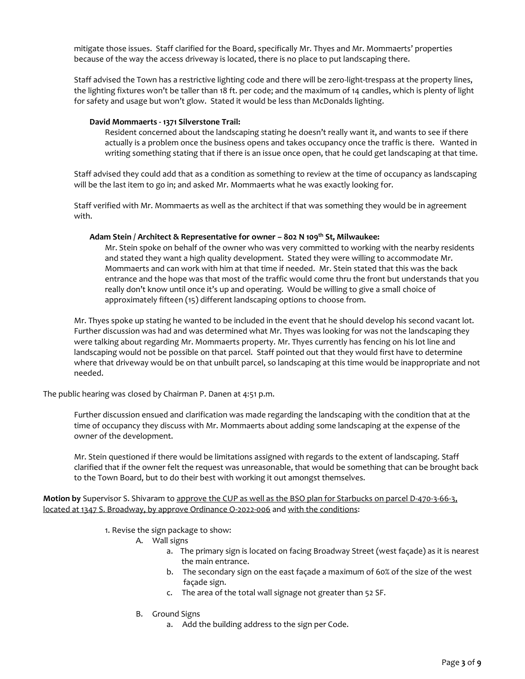mitigate those issues. Staff clarified for the Board, specifically Mr. Thyes and Mr. Mommaerts' properties because of the way the access driveway is located, there is no place to put landscaping there.

Staff advised the Town has a restrictive lighting code and there will be zero-light-trespass at the property lines, the lighting fixtures won't be taller than 18 ft. per code; and the maximum of 14 candles, which is plenty of light for safety and usage but won't glow. Stated it would be less than McDonalds lighting.

### **David Mommaerts - 1371 Silverstone Trail:**

Resident concerned about the landscaping stating he doesn't really want it, and wants to see if there actually is a problem once the business opens and takes occupancy once the traffic is there. Wanted in writing something stating that if there is an issue once open, that he could get landscaping at that time.

Staff advised they could add that as a condition as something to review at the time of occupancy as landscaping will be the last item to go in; and asked Mr. Mommaerts what he was exactly looking for.

Staff verified with Mr. Mommaerts as well as the architect if that was something they would be in agreement with.

#### **Adam Stein / Architect & Representative for owner – 802 N 109th St, Milwaukee:**

Mr. Stein spoke on behalf of the owner who was very committed to working with the nearby residents and stated they want a high quality development. Stated they were willing to accommodate Mr. Mommaerts and can work with him at that time if needed. Mr. Stein stated that this was the back entrance and the hope was that most of the traffic would come thru the front but understands that you really don't know until once it's up and operating. Would be willing to give a small choice of approximately fifteen (15) different landscaping options to choose from.

Mr. Thyes spoke up stating he wanted to be included in the event that he should develop his second vacant lot. Further discussion was had and was determined what Mr. Thyes was looking for was not the landscaping they were talking about regarding Mr. Mommaerts property. Mr. Thyes currently has fencing on his lot line and landscaping would not be possible on that parcel. Staff pointed out that they would first have to determine where that driveway would be on that unbuilt parcel, so landscaping at this time would be inappropriate and not needed.

The public hearing was closed by Chairman P. Danen at 4:51 p.m.

Further discussion ensued and clarification was made regarding the landscaping with the condition that at the time of occupancy they discuss with Mr. Mommaerts about adding some landscaping at the expense of the owner of the development.

Mr. Stein questioned if there would be limitations assigned with regards to the extent of landscaping. Staff clarified that if the owner felt the request was unreasonable, that would be something that can be brought back to the Town Board, but to do their best with working it out amongst themselves.

**Motion by** Supervisor S. Shivaram to approve the CUP as well as the BSO plan for Starbucks on parcel D-470-3-66-3, located at 1347 S. Broadway, by approve Ordinance O-2022-006 and with the conditions:

1. Revise the sign package to show:

- A. Wall signs
	- a. The primary sign is located on facing Broadway Street (west façade) as it is nearest the main entrance.
	- b. The secondary sign on the east façade a maximum of 60% of the size of the west façade sign.
	- c. The area of the total wall signage not greater than 52 SF.
- B. Ground Signs
	- a. Add the building address to the sign per Code.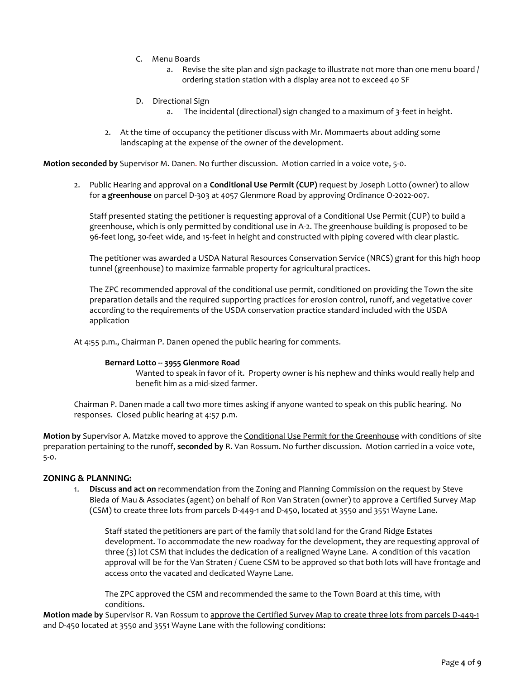- C. Menu Boards
	- a. Revise the site plan and sign package to illustrate not more than one menu board / ordering station station with a display area not to exceed 40 SF
- D. Directional Sign
	- a. The incidental (directional) sign changed to a maximum of 3-feet in height.
- 2. At the time of occupancy the petitioner discuss with Mr. Mommaerts about adding some landscaping at the expense of the owner of the development.

**Motion seconded by** Supervisor M. Danen. No further discussion. Motion carried in a voice vote, 5-0.

2. Public Hearing and approval on a **Conditional Use Permit (CUP)** request by Joseph Lotto (owner) to allow for **a greenhouse** on parcel D-303 at 4057 Glenmore Road by approving Ordinance O-2022-007.

Staff presented stating the petitioner is requesting approval of a Conditional Use Permit (CUP) to build a greenhouse, which is only permitted by conditional use in A-2. The greenhouse building is proposed to be 96-feet long, 30-feet wide, and 15-feet in height and constructed with piping covered with clear plastic.

The petitioner was awarded a USDA Natural Resources Conservation Service (NRCS) grant for this high hoop tunnel (greenhouse) to maximize farmable property for agricultural practices.

The ZPC recommended approval of the conditional use permit, conditioned on providing the Town the site preparation details and the required supporting practices for erosion control, runoff, and vegetative cover according to the requirements of the USDA conservation practice standard included with the USDA application

At 4:55 p.m., Chairman P. Danen opened the public hearing for comments.

#### **Bernard Lotto -- 3955 Glenmore Road**

Wanted to speak in favor of it. Property owner is his nephew and thinks would really help and benefit him as a mid-sized farmer.

Chairman P. Danen made a call two more times asking if anyone wanted to speak on this public hearing. No responses. Closed public hearing at 4:57 p.m.

**Motion by** Supervisor A. Matzke moved to approve the Conditional Use Permit for the Greenhouse with conditions of site preparation pertaining to the runoff, **seconded by** R. Van Rossum. No further discussion. Motion carried in a voice vote, 5-0.

# **ZONING & PLANNING:**

1. **Discuss and act on** recommendation from the Zoning and Planning Commission on the request by Steve Bieda of Mau & Associates (agent) on behalf of Ron Van Straten (owner) to approve a Certified Survey Map (CSM) to create three lots from parcels D-449-1 and D-450, located at 3550 and 3551 Wayne Lane.

Staff stated the petitioners are part of the family that sold land for the Grand Ridge Estates development. To accommodate the new roadway for the development, they are requesting approval of three (3) lot CSM that includes the dedication of a realigned Wayne Lane. A condition of this vacation approval will be for the Van Straten / Cuene CSM to be approved so that both lots will have frontage and access onto the vacated and dedicated Wayne Lane.

The ZPC approved the CSM and recommended the same to the Town Board at this time, with conditions.

**Motion made by** Supervisor R. Van Rossum to approve the Certified Survey Map to create three lots from parcels D-449-1 and D-450 located at 3550 and 3551 Wayne Lane with the following conditions: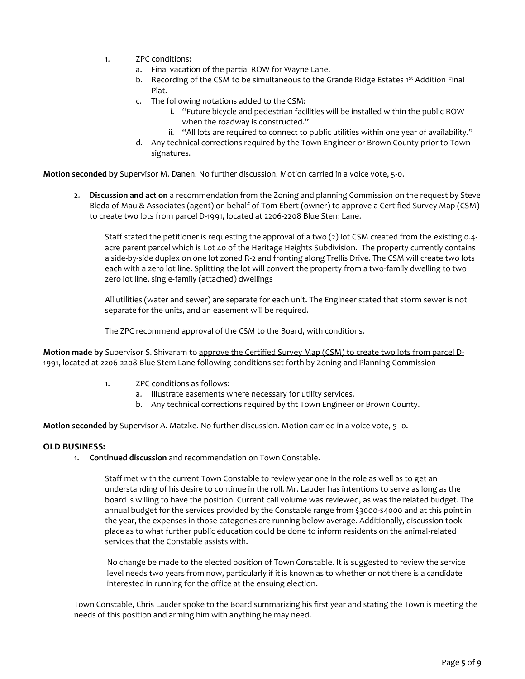- 1. ZPC conditions:
	- a. Final vacation of the partial ROW for Wayne Lane.
	- b. Recording of the CSM to be simultaneous to the Grande Ridge Estates 1<sup>st</sup> Addition Final Plat.
	- c. The following notations added to the CSM:
		- i. "Future bicycle and pedestrian facilities will be installed within the public ROW when the roadway is constructed."
		- ii. "All lots are required to connect to public utilities within one year of availability."
	- d. Any technical corrections required by the Town Engineer or Brown County prior to Town signatures.

**Motion seconded by** Supervisor M. Danen. No further discussion. Motion carried in a voice vote, 5-0.

2. **Discussion and act on** a recommendation from the Zoning and planning Commission on the request by Steve Bieda of Mau & Associates (agent) on behalf of Tom Ebert (owner) to approve a Certified Survey Map (CSM) to create two lots from parcel D-1991, located at 2206-2208 Blue Stem Lane.

Staff stated the petitioner is requesting the approval of a two (2) lot CSM created from the existing 0.4 acre parent parcel which is Lot 40 of the Heritage Heights Subdivision. The property currently contains a side-by-side duplex on one lot zoned R-2 and fronting along Trellis Drive. The CSM will create two lots each with a zero lot line. Splitting the lot will convert the property from a two-family dwelling to two zero lot line, single-family (attached) dwellings

All utilities (water and sewer) are separate for each unit. The Engineer stated that storm sewer is not separate for the units, and an easement will be required.

The ZPC recommend approval of the CSM to the Board, with conditions.

**Motion made by** Supervisor S. Shivaram to approve the Certified Survey Map (CSM) to create two lots from parcel D-1991, located at 2206-2208 Blue Stem Lane following conditions set forth by Zoning and Planning Commission

- 1. ZPC conditions as follows:
	- a. Illustrate easements where necessary for utility services.
	- b. Any technical corrections required by tht Town Engineer or Brown County.

**Motion seconded by** Supervisor A. Matzke. No further discussion. Motion carried in a voice vote, 5--0.

# **OLD BUSINESS:**

1. **Continued discussion** and recommendation on Town Constable.

Staff met with the current Town Constable to review year one in the role as well as to get an understanding of his desire to continue in the roll. Mr. Lauder has intentions to serve as long as the board is willing to have the position. Current call volume was reviewed, as was the related budget. The annual budget for the services provided by the Constable range from \$3000-\$4000 and at this point in the year, the expenses in those categories are running below average. Additionally, discussion took place as to what further public education could be done to inform residents on the animal-related services that the Constable assists with.

No change be made to the elected position of Town Constable. It is suggested to review the service level needs two years from now, particularly if it is known as to whether or not there is a candidate interested in running for the office at the ensuing election.

Town Constable, Chris Lauder spoke to the Board summarizing his first year and stating the Town is meeting the needs of this position and arming him with anything he may need.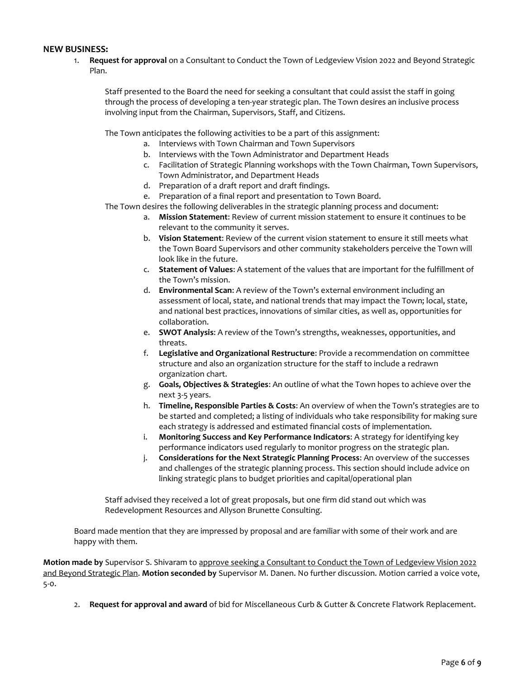# **NEW BUSINESS:**

1. **Request for approval** on a Consultant to Conduct the Town of Ledgeview Vision 2022 and Beyond Strategic Plan.

Staff presented to the Board the need for seeking a consultant that could assist the staff in going through the process of developing a ten-year strategic plan. The Town desires an inclusive process involving input from the Chairman, Supervisors, Staff, and Citizens.

The Town anticipates the following activities to be a part of this assignment:

- a. Interviews with Town Chairman and Town Supervisors
- b. Interviews with the Town Administrator and Department Heads
- c. Facilitation of Strategic Planning workshops with the Town Chairman, Town Supervisors, Town Administrator, and Department Heads
- d. Preparation of a draft report and draft findings.
- e. Preparation of a final report and presentation to Town Board.

The Town desires the following deliverables in the strategic planning process and document:

- a. **Mission Statement**: Review of current mission statement to ensure it continues to be relevant to the community it serves.
- b. **Vision Statement**: Review of the current vision statement to ensure it still meets what the Town Board Supervisors and other community stakeholders perceive the Town will look like in the future.
- c. **Statement of Values**: A statement of the values that are important for the fulfillment of the Town's mission.
- d. **Environmental Scan**: A review of the Town's external environment including an assessment of local, state, and national trends that may impact the Town; local, state, and national best practices, innovations of similar cities, as well as, opportunities for collaboration.
- e. **SWOT Analysis**: A review of the Town's strengths, weaknesses, opportunities, and threats.
- f. **Legislative and Organizational Restructure**: Provide a recommendation on committee structure and also an organization structure for the staff to include a redrawn organization chart.
- g. **Goals, Objectives & Strategies**: An outline of what the Town hopes to achieve over the next 3-5 years.
- h. **Timeline, Responsible Parties & Costs**: An overview of when the Town's strategies are to be started and completed; a listing of individuals who take responsibility for making sure each strategy is addressed and estimated financial costs of implementation.
- i. **Monitoring Success and Key Performance Indicators**: A strategy for identifying key performance indicators used regularly to monitor progress on the strategic plan.
- j. **Considerations for the Next Strategic Planning Process**: An overview of the successes and challenges of the strategic planning process. This section should include advice on linking strategic plans to budget priorities and capital/operational plan

Staff advised they received a lot of great proposals, but one firm did stand out which was Redevelopment Resources and Allyson Brunette Consulting.

Board made mention that they are impressed by proposal and are familiar with some of their work and are happy with them.

**Motion made by** Supervisor S. Shivaram to approve seeking a Consultant to Conduct the Town of Ledgeview Vision 2022 and Beyond Strategic Plan. **Motion seconded by** Supervisor M. Danen. No further discussion. Motion carried a voice vote, 5-0.

2. **Request for approval and award** of bid for Miscellaneous Curb & Gutter & Concrete Flatwork Replacement.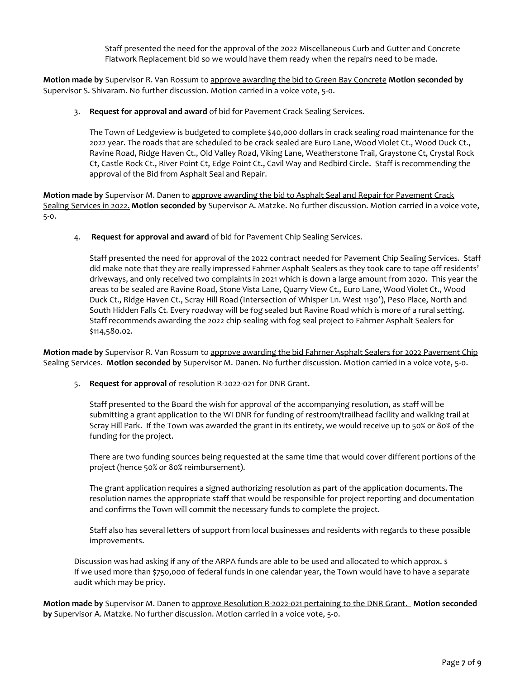Staff presented the need for the approval of the 2022 Miscellaneous Curb and Gutter and Concrete Flatwork Replacement bid so we would have them ready when the repairs need to be made.

**Motion made by** Supervisor R. Van Rossum to approve awarding the bid to Green Bay Concrete **Motion seconded by** Supervisor S. Shivaram. No further discussion. Motion carried in a voice vote, 5-0.

3. **Request for approval and award** of bid for Pavement Crack Sealing Services.

The Town of Ledgeview is budgeted to complete \$40,000 dollars in crack sealing road maintenance for the 2022 year. The roads that are scheduled to be crack sealed are Euro Lane, Wood Violet Ct., Wood Duck Ct., Ravine Road, Ridge Haven Ct., Old Valley Road, Viking Lane, Weatherstone Trail, Graystone Ct, Crystal Rock Ct, Castle Rock Ct., River Point Ct, Edge Point Ct., Cavil Way and Redbird Circle. Staff is recommending the approval of the Bid from Asphalt Seal and Repair.

**Motion made by** Supervisor M. Danen to approve awarding the bid to Asphalt Seal and Repair for Pavement Crack Sealing Services in 2022. **Motion seconded by** Supervisor A. Matzke. No further discussion. Motion carried in a voice vote, 5-0.

4. **Request for approval and award** of bid for Pavement Chip Sealing Services.

Staff presented the need for approval of the 2022 contract needed for Pavement Chip Sealing Services. Staff did make note that they are really impressed Fahrner Asphalt Sealers as they took care to tape off residents' driveways, and only received two complaints in 2021 which is down a large amount from 2020. This year the areas to be sealed are Ravine Road, Stone Vista Lane, Quarry View Ct., Euro Lane, Wood Violet Ct., Wood Duck Ct., Ridge Haven Ct., Scray Hill Road (Intersection of Whisper Ln. West 1130'), Peso Place, North and South Hidden Falls Ct. Every roadway will be fog sealed but Ravine Road which is more of a rural setting. Staff recommends awarding the 2022 chip sealing with fog seal project to Fahrner Asphalt Sealers for \$114,580.02.

**Motion made by** Supervisor R. Van Rossum to approve awarding the bid Fahrner Asphalt Sealers for 2022 Pavement Chip Sealing Services. **Motion seconded by** Supervisor M. Danen. No further discussion. Motion carried in a voice vote, 5-0.

5. **Request for approval** of resolution R-2022-021 for DNR Grant.

Staff presented to the Board the wish for approval of the accompanying resolution, as staff will be submitting a grant application to the WI DNR for funding of restroom/trailhead facility and walking trail at Scray Hill Park. If the Town was awarded the grant in its entirety, we would receive up to 50% or 80% of the funding for the project.

There are two funding sources being requested at the same time that would cover different portions of the project (hence 50% or 80% reimbursement).

The grant application requires a signed authorizing resolution as part of the application documents. The resolution names the appropriate staff that would be responsible for project reporting and documentation and confirms the Town will commit the necessary funds to complete the project.

Staff also has several letters of support from local businesses and residents with regards to these possible improvements.

Discussion was had asking if any of the ARPA funds are able to be used and allocated to which approx. \$ If we used more than \$750,000 of federal funds in one calendar year, the Town would have to have a separate audit which may be pricy.

**Motion made by** Supervisor M. Danen to approve Resolution R-2022-021 pertaining to the DNR Grant. **Motion seconded by** Supervisor A. Matzke. No further discussion. Motion carried in a voice vote, 5-0.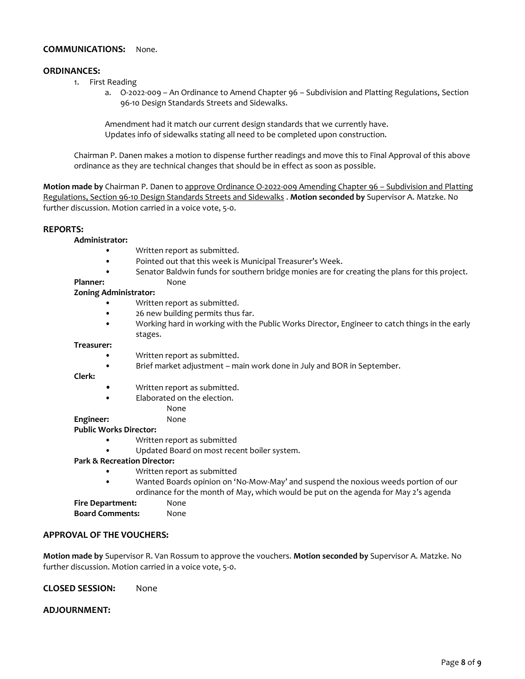# **COMMUNICATIONS:** None.

#### **ORDINANCES:**

- 1. First Reading
	- a. O-2022-009 An Ordinance to Amend Chapter 96 Subdivision and Platting Regulations, Section 96-10 Design Standards Streets and Sidewalks.

Amendment had it match our current design standards that we currently have. Updates info of sidewalks stating all need to be completed upon construction.

Chairman P. Danen makes a motion to dispense further readings and move this to Final Approval of this above ordinance as they are technical changes that should be in effect as soon as possible.

**Motion made by** Chairman P. Danen to approve Ordinance O-2022-009 Amending Chapter 96 – Subdivision and Platting Regulations, Section 96-10 Design Standards Streets and Sidewalks . **Motion seconded by** Supervisor A. Matzke. No further discussion. Motion carried in a voice vote, 5-0.

#### **REPORTS:**

#### **Administrator:**

- Written report as submitted.
- Pointed out that this week is Municipal Treasurer's Week.
- Senator Baldwin funds for southern bridge monies are for creating the plans for this project.

# Planner: None

#### **Zoning Administrator:**

- Written report as submitted.
- 26 new building permits thus far.
- Working hard in working with the Public Works Director, Engineer to catch things in the early stages.

#### **Treasurer:**

- Written report as submitted.
- Brief market adjustment main work done in July and BOR in September.

#### **Clerk:**

- Written report as submitted.
- Elaborated on the election.

# None

# **Engineer:** None

# **Public Works Director:**

• Written report as submitted

• Updated Board on most recent boiler system.

# **Park & Recreation Director:**

- Written report as submitted
- Wanted Boards opinion on 'No-Mow-May' and suspend the noxious weeds portion of our ordinance for the month of May, which would be put on the agenda for May 2's agenda

# **Fire Department:** None

**Board Comments:** None

# **APPROVAL OF THE VOUCHERS:**

**Motion made by** Supervisor R. Van Rossum to approve the vouchers. **Motion seconded by** Supervisor A. Matzke. No further discussion. Motion carried in a voice vote, 5-0.

**CLOSED SESSION:** None

# **ADJOURNMENT:**